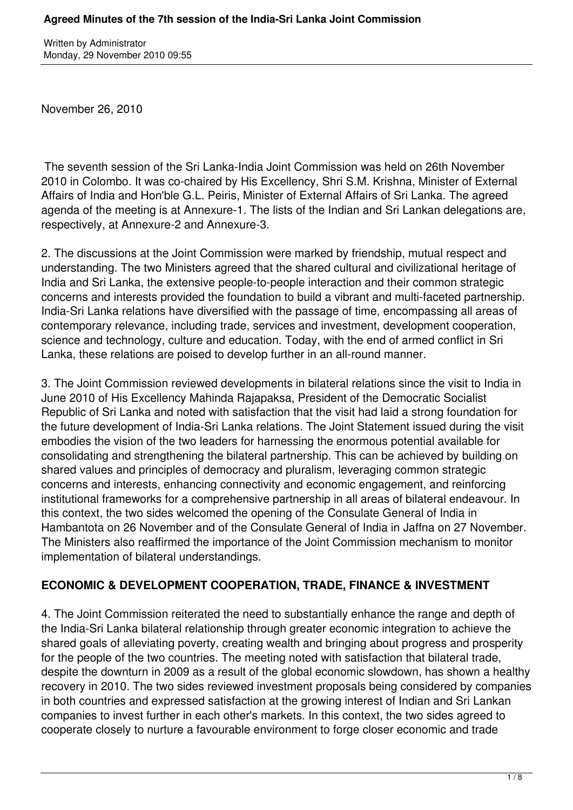November 26, 2010

 The seventh session of the Sri Lanka-India Joint Commission was held on 26th November 2010 in Colombo. It was co-chaired by His Excellency, Shri S.M. Krishna, Minister of External Affairs of India and Hon'ble G.L. Peiris, Minister of External Affairs of Sri Lanka. The agreed agenda of the meeting is at Annexure-1. The lists of the Indian and Sri Lankan delegations are, respectively, at Annexure-2 and Annexure-3.

2. The discussions at the Joint Commission were marked by friendship, mutual respect and understanding. The two Ministers agreed that the shared cultural and civilizational heritage of India and Sri Lanka, the extensive people-to-people interaction and their common strategic concerns and interests provided the foundation to build a vibrant and multi-faceted partnership. India-Sri Lanka relations have diversified with the passage of time, encompassing all areas of contemporary relevance, including trade, services and investment, development cooperation, science and technology, culture and education. Today, with the end of armed conflict in Sri Lanka, these relations are poised to develop further in an all-round manner.

3. The Joint Commission reviewed developments in bilateral relations since the visit to India in June 2010 of His Excellency Mahinda Rajapaksa, President of the Democratic Socialist Republic of Sri Lanka and noted with satisfaction that the visit had laid a strong foundation for the future development of India-Sri Lanka relations. The Joint Statement issued during the visit embodies the vision of the two leaders for harnessing the enormous potential available for consolidating and strengthening the bilateral partnership. This can be achieved by building on shared values and principles of democracy and pluralism, leveraging common strategic concerns and interests, enhancing connectivity and economic engagement, and reinforcing institutional frameworks for a comprehensive partnership in all areas of bilateral endeavour. In this context, the two sides welcomed the opening of the Consulate General of India in Hambantota on 26 November and of the Consulate General of India in Jaffna on 27 November. The Ministers also reaffirmed the importance of the Joint Commission mechanism to monitor implementation of bilateral understandings.

### **ECONOMIC & DEVELOPMENT COOPERATION, TRADE, FINANCE & INVESTMENT**

4. The Joint Commission reiterated the need to substantially enhance the range and depth of the India-Sri Lanka bilateral relationship through greater economic integration to achieve the shared goals of alleviating poverty, creating wealth and bringing about progress and prosperity for the people of the two countries. The meeting noted with satisfaction that bilateral trade, despite the downturn in 2009 as a result of the global economic slowdown, has shown a healthy recovery in 2010. The two sides reviewed investment proposals being considered by companies in both countries and expressed satisfaction at the growing interest of Indian and Sri Lankan companies to invest further in each other's markets. In this context, the two sides agreed to cooperate closely to nurture a favourable environment to forge closer economic and trade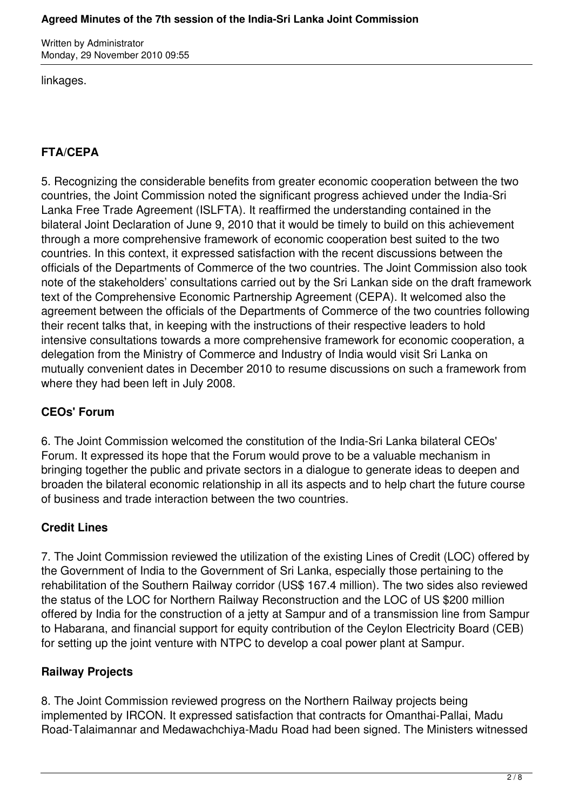#### **Agreed Minutes of the 7th session of the India-Sri Lanka Joint Commission**

Written by Administrator Monday, 29 November 2010 09:55

linkages.

# **FTA/CEPA**

5. Recognizing the considerable benefits from greater economic cooperation between the two countries, the Joint Commission noted the significant progress achieved under the India-Sri Lanka Free Trade Agreement (ISLFTA). It reaffirmed the understanding contained in the bilateral Joint Declaration of June 9, 2010 that it would be timely to build on this achievement through a more comprehensive framework of economic cooperation best suited to the two countries. In this context, it expressed satisfaction with the recent discussions between the officials of the Departments of Commerce of the two countries. The Joint Commission also took note of the stakeholders' consultations carried out by the Sri Lankan side on the draft framework text of the Comprehensive Economic Partnership Agreement (CEPA). It welcomed also the agreement between the officials of the Departments of Commerce of the two countries following their recent talks that, in keeping with the instructions of their respective leaders to hold intensive consultations towards a more comprehensive framework for economic cooperation, a delegation from the Ministry of Commerce and Industry of India would visit Sri Lanka on mutually convenient dates in December 2010 to resume discussions on such a framework from where they had been left in July 2008.

# **CEOs' Forum**

6. The Joint Commission welcomed the constitution of the India-Sri Lanka bilateral CEOs' Forum. It expressed its hope that the Forum would prove to be a valuable mechanism in bringing together the public and private sectors in a dialogue to generate ideas to deepen and broaden the bilateral economic relationship in all its aspects and to help chart the future course of business and trade interaction between the two countries.

### **Credit Lines**

7. The Joint Commission reviewed the utilization of the existing Lines of Credit (LOC) offered by the Government of India to the Government of Sri Lanka, especially those pertaining to the rehabilitation of the Southern Railway corridor (US\$ 167.4 million). The two sides also reviewed the status of the LOC for Northern Railway Reconstruction and the LOC of US \$200 million offered by India for the construction of a jetty at Sampur and of a transmission line from Sampur to Habarana, and financial support for equity contribution of the Ceylon Electricity Board (CEB) for setting up the joint venture with NTPC to develop a coal power plant at Sampur.

# **Railway Projects**

8. The Joint Commission reviewed progress on the Northern Railway projects being implemented by IRCON. It expressed satisfaction that contracts for Omanthai-Pallai, Madu Road-Talaimannar and Medawachchiya-Madu Road had been signed. The Ministers witnessed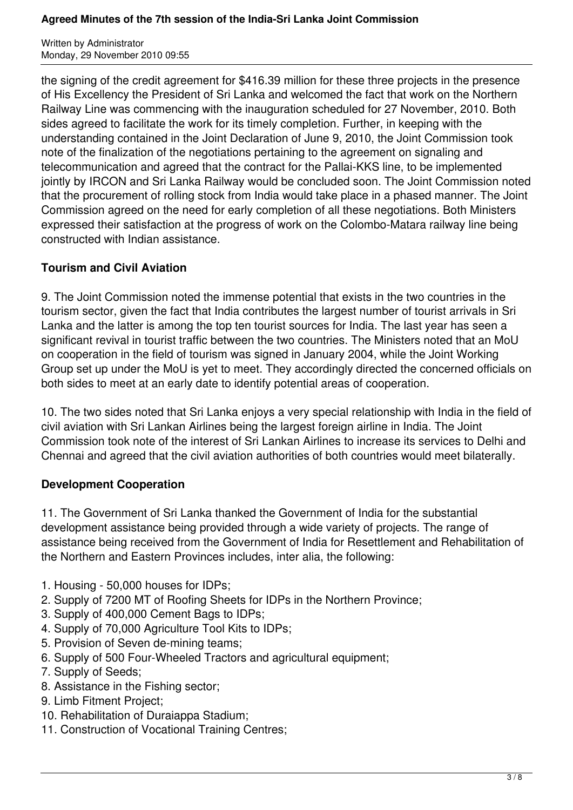the signing of the credit agreement for \$416.39 million for these three projects in the presence of His Excellency the President of Sri Lanka and welcomed the fact that work on the Northern Railway Line was commencing with the inauguration scheduled for 27 November, 2010. Both sides agreed to facilitate the work for its timely completion. Further, in keeping with the understanding contained in the Joint Declaration of June 9, 2010, the Joint Commission took note of the finalization of the negotiations pertaining to the agreement on signaling and telecommunication and agreed that the contract for the Pallai-KKS line, to be implemented jointly by IRCON and Sri Lanka Railway would be concluded soon. The Joint Commission noted that the procurement of rolling stock from India would take place in a phased manner. The Joint Commission agreed on the need for early completion of all these negotiations. Both Ministers expressed their satisfaction at the progress of work on the Colombo-Matara railway line being constructed with Indian assistance.

### **Tourism and Civil Aviation**

9. The Joint Commission noted the immense potential that exists in the two countries in the tourism sector, given the fact that India contributes the largest number of tourist arrivals in Sri Lanka and the latter is among the top ten tourist sources for India. The last year has seen a significant revival in tourist traffic between the two countries. The Ministers noted that an MoU on cooperation in the field of tourism was signed in January 2004, while the Joint Working Group set up under the MoU is yet to meet. They accordingly directed the concerned officials on both sides to meet at an early date to identify potential areas of cooperation.

10. The two sides noted that Sri Lanka enjoys a very special relationship with India in the field of civil aviation with Sri Lankan Airlines being the largest foreign airline in India. The Joint Commission took note of the interest of Sri Lankan Airlines to increase its services to Delhi and Chennai and agreed that the civil aviation authorities of both countries would meet bilaterally.

### **Development Cooperation**

11. The Government of Sri Lanka thanked the Government of India for the substantial development assistance being provided through a wide variety of projects. The range of assistance being received from the Government of India for Resettlement and Rehabilitation of the Northern and Eastern Provinces includes, inter alia, the following:

- 1. Housing 50,000 houses for IDPs;
- 2. Supply of 7200 MT of Roofing Sheets for IDPs in the Northern Province;
- 3. Supply of 400,000 Cement Bags to IDPs;
- 4. Supply of 70,000 Agriculture Tool Kits to IDPs;
- 5. Provision of Seven de-mining teams;
- 6. Supply of 500 Four-Wheeled Tractors and agricultural equipment;
- 7. Supply of Seeds;
- 8. Assistance in the Fishing sector;
- 9. Limb Fitment Project;
- 10. Rehabilitation of Duraiappa Stadium;
- 11. Construction of Vocational Training Centres;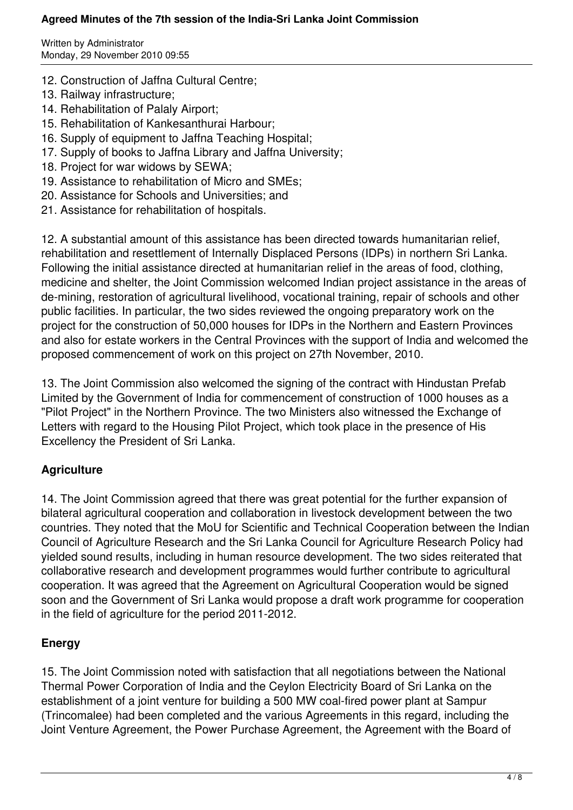#### **Agreed Minutes of the 7th session of the India-Sri Lanka Joint Commission**

Written by Administrator Monday, 29 November 2010 09:55

- 12. Construction of Jaffna Cultural Centre;
- 13. Railway infrastructure;
- 14. Rehabilitation of Palaly Airport;
- 15. Rehabilitation of Kankesanthurai Harbour;
- 16. Supply of equipment to Jaffna Teaching Hospital;
- 17. Supply of books to Jaffna Library and Jaffna University;
- 18. Project for war widows by SEWA;
- 19. Assistance to rehabilitation of Micro and SMEs;
- 20. Assistance for Schools and Universities; and
- 21. Assistance for rehabilitation of hospitals.

12. A substantial amount of this assistance has been directed towards humanitarian relief, rehabilitation and resettlement of Internally Displaced Persons (IDPs) in northern Sri Lanka. Following the initial assistance directed at humanitarian relief in the areas of food, clothing, medicine and shelter, the Joint Commission welcomed Indian project assistance in the areas of de-mining, restoration of agricultural livelihood, vocational training, repair of schools and other public facilities. In particular, the two sides reviewed the ongoing preparatory work on the project for the construction of 50,000 houses for IDPs in the Northern and Eastern Provinces and also for estate workers in the Central Provinces with the support of India and welcomed the proposed commencement of work on this project on 27th November, 2010.

13. The Joint Commission also welcomed the signing of the contract with Hindustan Prefab Limited by the Government of India for commencement of construction of 1000 houses as a "Pilot Project" in the Northern Province. The two Ministers also witnessed the Exchange of Letters with regard to the Housing Pilot Project, which took place in the presence of His Excellency the President of Sri Lanka.

# **Agriculture**

14. The Joint Commission agreed that there was great potential for the further expansion of bilateral agricultural cooperation and collaboration in livestock development between the two countries. They noted that the MoU for Scientific and Technical Cooperation between the Indian Council of Agriculture Research and the Sri Lanka Council for Agriculture Research Policy had yielded sound results, including in human resource development. The two sides reiterated that collaborative research and development programmes would further contribute to agricultural cooperation. It was agreed that the Agreement on Agricultural Cooperation would be signed soon and the Government of Sri Lanka would propose a draft work programme for cooperation in the field of agriculture for the period 2011-2012.

### **Energy**

15. The Joint Commission noted with satisfaction that all negotiations between the National Thermal Power Corporation of India and the Ceylon Electricity Board of Sri Lanka on the establishment of a joint venture for building a 500 MW coal-fired power plant at Sampur (Trincomalee) had been completed and the various Agreements in this regard, including the Joint Venture Agreement, the Power Purchase Agreement, the Agreement with the Board of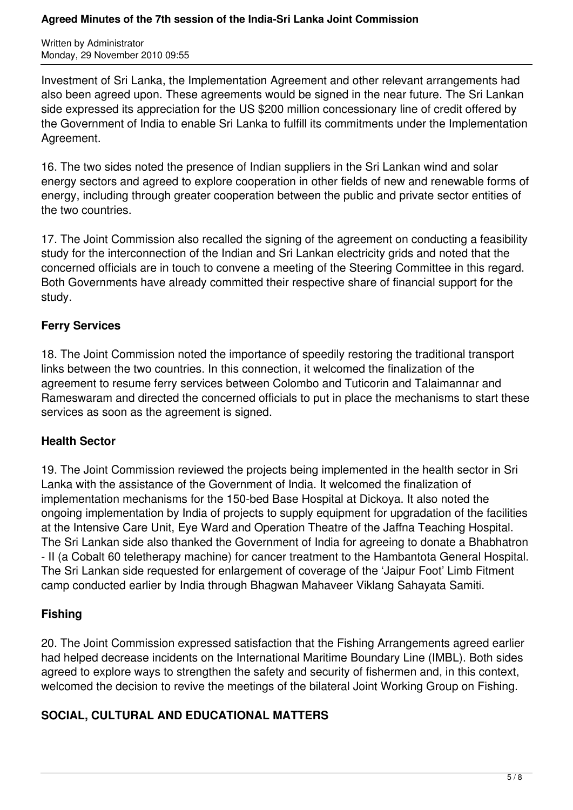Investment of Sri Lanka, the Implementation Agreement and other relevant arrangements had also been agreed upon. These agreements would be signed in the near future. The Sri Lankan side expressed its appreciation for the US \$200 million concessionary line of credit offered by the Government of India to enable Sri Lanka to fulfill its commitments under the Implementation Agreement.

16. The two sides noted the presence of Indian suppliers in the Sri Lankan wind and solar energy sectors and agreed to explore cooperation in other fields of new and renewable forms of energy, including through greater cooperation between the public and private sector entities of the two countries.

17. The Joint Commission also recalled the signing of the agreement on conducting a feasibility study for the interconnection of the Indian and Sri Lankan electricity grids and noted that the concerned officials are in touch to convene a meeting of the Steering Committee in this regard. Both Governments have already committed their respective share of financial support for the study.

### **Ferry Services**

18. The Joint Commission noted the importance of speedily restoring the traditional transport links between the two countries. In this connection, it welcomed the finalization of the agreement to resume ferry services between Colombo and Tuticorin and Talaimannar and Rameswaram and directed the concerned officials to put in place the mechanisms to start these services as soon as the agreement is signed.

# **Health Sector**

19. The Joint Commission reviewed the projects being implemented in the health sector in Sri Lanka with the assistance of the Government of India. It welcomed the finalization of implementation mechanisms for the 150-bed Base Hospital at Dickoya. It also noted the ongoing implementation by India of projects to supply equipment for upgradation of the facilities at the Intensive Care Unit, Eye Ward and Operation Theatre of the Jaffna Teaching Hospital. The Sri Lankan side also thanked the Government of India for agreeing to donate a Bhabhatron - II (a Cobalt 60 teletherapy machine) for cancer treatment to the Hambantota General Hospital. The Sri Lankan side requested for enlargement of coverage of the 'Jaipur Foot' Limb Fitment camp conducted earlier by India through Bhagwan Mahaveer Viklang Sahayata Samiti.

### **Fishing**

20. The Joint Commission expressed satisfaction that the Fishing Arrangements agreed earlier had helped decrease incidents on the International Maritime Boundary Line (IMBL). Both sides agreed to explore ways to strengthen the safety and security of fishermen and, in this context, welcomed the decision to revive the meetings of the bilateral Joint Working Group on Fishing.

### **SOCIAL, CULTURAL AND EDUCATIONAL MATTERS**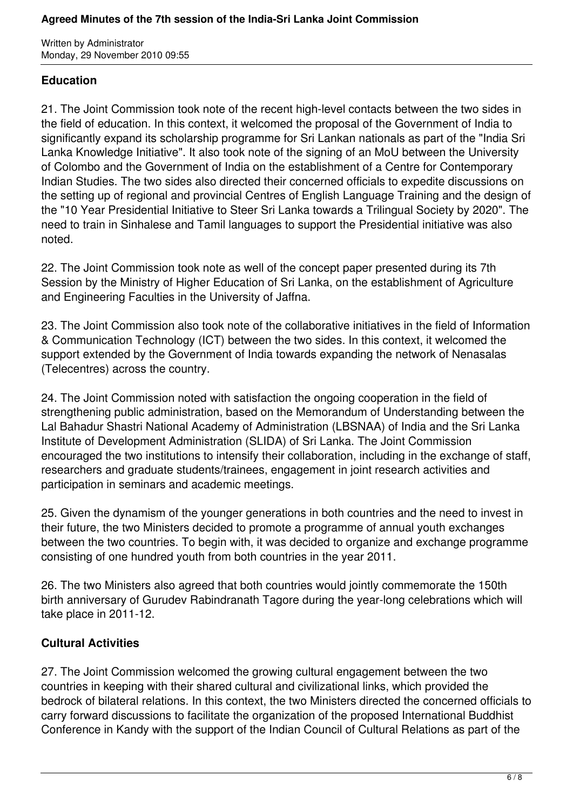### **Education**

21. The Joint Commission took note of the recent high-level contacts between the two sides in the field of education. In this context, it welcomed the proposal of the Government of India to significantly expand its scholarship programme for Sri Lankan nationals as part of the "India Sri Lanka Knowledge Initiative". It also took note of the signing of an MoU between the University of Colombo and the Government of India on the establishment of a Centre for Contemporary Indian Studies. The two sides also directed their concerned officials to expedite discussions on the setting up of regional and provincial Centres of English Language Training and the design of the "10 Year Presidential Initiative to Steer Sri Lanka towards a Trilingual Society by 2020". The need to train in Sinhalese and Tamil languages to support the Presidential initiative was also noted.

22. The Joint Commission took note as well of the concept paper presented during its 7th Session by the Ministry of Higher Education of Sri Lanka, on the establishment of Agriculture and Engineering Faculties in the University of Jaffna.

23. The Joint Commission also took note of the collaborative initiatives in the field of Information & Communication Technology (ICT) between the two sides. In this context, it welcomed the support extended by the Government of India towards expanding the network of Nenasalas (Telecentres) across the country.

24. The Joint Commission noted with satisfaction the ongoing cooperation in the field of strengthening public administration, based on the Memorandum of Understanding between the Lal Bahadur Shastri National Academy of Administration (LBSNAA) of India and the Sri Lanka Institute of Development Administration (SLIDA) of Sri Lanka. The Joint Commission encouraged the two institutions to intensify their collaboration, including in the exchange of staff, researchers and graduate students/trainees, engagement in joint research activities and participation in seminars and academic meetings.

25. Given the dynamism of the younger generations in both countries and the need to invest in their future, the two Ministers decided to promote a programme of annual youth exchanges between the two countries. To begin with, it was decided to organize and exchange programme consisting of one hundred youth from both countries in the year 2011.

26. The two Ministers also agreed that both countries would jointly commemorate the 150th birth anniversary of Gurudev Rabindranath Tagore during the year-long celebrations which will take place in 2011-12.

# **Cultural Activities**

27. The Joint Commission welcomed the growing cultural engagement between the two countries in keeping with their shared cultural and civilizational links, which provided the bedrock of bilateral relations. In this context, the two Ministers directed the concerned officials to carry forward discussions to facilitate the organization of the proposed International Buddhist Conference in Kandy with the support of the Indian Council of Cultural Relations as part of the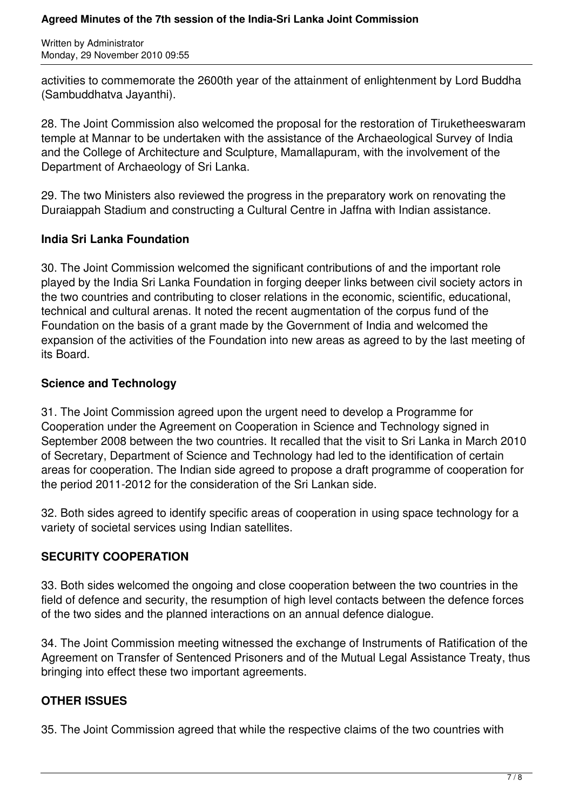activities to commemorate the 2600th year of the attainment of enlightenment by Lord Buddha (Sambuddhatva Jayanthi).

28. The Joint Commission also welcomed the proposal for the restoration of Tiruketheeswaram temple at Mannar to be undertaken with the assistance of the Archaeological Survey of India and the College of Architecture and Sculpture, Mamallapuram, with the involvement of the Department of Archaeology of Sri Lanka.

29. The two Ministers also reviewed the progress in the preparatory work on renovating the Duraiappah Stadium and constructing a Cultural Centre in Jaffna with Indian assistance.

### **India Sri Lanka Foundation**

30. The Joint Commission welcomed the significant contributions of and the important role played by the India Sri Lanka Foundation in forging deeper links between civil society actors in the two countries and contributing to closer relations in the economic, scientific, educational, technical and cultural arenas. It noted the recent augmentation of the corpus fund of the Foundation on the basis of a grant made by the Government of India and welcomed the expansion of the activities of the Foundation into new areas as agreed to by the last meeting of its Board.

### **Science and Technology**

31. The Joint Commission agreed upon the urgent need to develop a Programme for Cooperation under the Agreement on Cooperation in Science and Technology signed in September 2008 between the two countries. It recalled that the visit to Sri Lanka in March 2010 of Secretary, Department of Science and Technology had led to the identification of certain areas for cooperation. The Indian side agreed to propose a draft programme of cooperation for the period 2011-2012 for the consideration of the Sri Lankan side.

32. Both sides agreed to identify specific areas of cooperation in using space technology for a variety of societal services using Indian satellites.

# **SECURITY COOPERATION**

33. Both sides welcomed the ongoing and close cooperation between the two countries in the field of defence and security, the resumption of high level contacts between the defence forces of the two sides and the planned interactions on an annual defence dialogue.

34. The Joint Commission meeting witnessed the exchange of Instruments of Ratification of the Agreement on Transfer of Sentenced Prisoners and of the Mutual Legal Assistance Treaty, thus bringing into effect these two important agreements.

# **OTHER ISSUES**

35. The Joint Commission agreed that while the respective claims of the two countries with